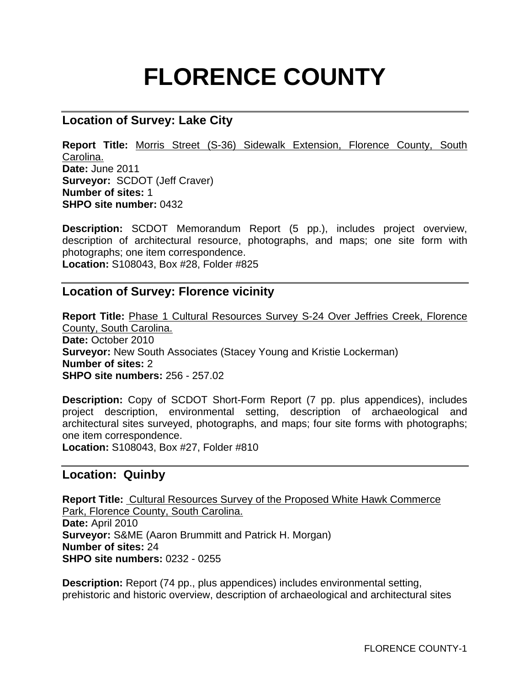# **FLORENCE COUNTY**

# **Location of Survey: Lake City**

**Report Title:** Morris Street (S-36) Sidewalk Extension, Florence County, South Carolina. **Date:** June 2011 **Surveyor:** SCDOT (Jeff Craver) **Number of sites:** 1 **SHPO site number:** 0432

**Description:** SCDOT Memorandum Report (5 pp.), includes project overview, description of architectural resource, photographs, and maps; one site form with photographs; one item correspondence. **Location:** S108043, Box #28, Folder #825

# **Location of Survey: Florence vicinity**

**Report Title:** Phase 1 Cultural Resources Survey S-24 Over Jeffries Creek, Florence County, South Carolina. **Date:** October 2010 **Surveyor:** New South Associates (Stacey Young and Kristie Lockerman) **Number of sites:** 2 **SHPO site numbers:** 256 - 257.02

**Description:** Copy of SCDOT Short-Form Report (7 pp. plus appendices), includes project description, environmental setting, description of archaeological and architectural sites surveyed, photographs, and maps; four site forms with photographs; one item correspondence.

**Location:** S108043, Box #27, Folder #810

# **Location: Quinby**

**Report Title:** Cultural Resources Survey of the Proposed White Hawk Commerce Park, Florence County, South Carolina. **Date:** April 2010 **Surveyor:** S&ME (Aaron Brummitt and Patrick H. Morgan) **Number of sites:** 24 **SHPO site numbers:** 0232 - 0255

**Description:** Report (74 pp., plus appendices) includes environmental setting, prehistoric and historic overview, description of archaeological and architectural sites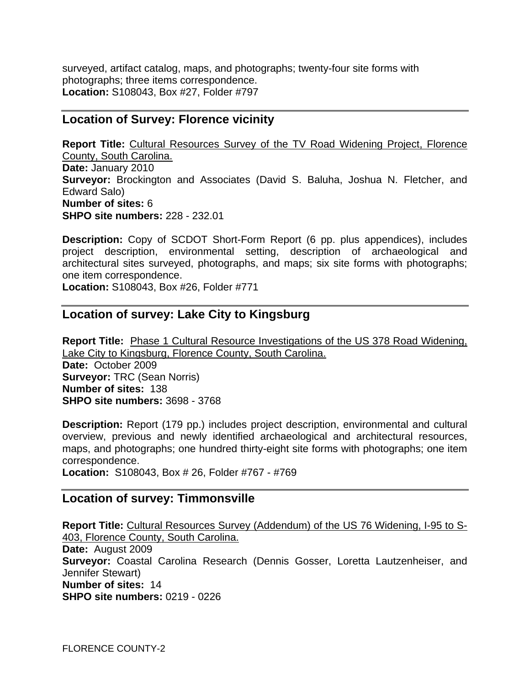surveyed, artifact catalog, maps, and photographs; twenty-four site forms with photographs; three items correspondence. **Location:** S108043, Box #27, Folder #797

#### **Location of Survey: Florence vicinity**

**Report Title:** Cultural Resources Survey of the TV Road Widening Project, Florence County, South Carolina. **Date:** January 2010 **Surveyor:** Brockington and Associates (David S. Baluha, Joshua N. Fletcher, and Edward Salo) **Number of sites:** 6 **SHPO site numbers:** 228 - 232.01

**Description:** Copy of SCDOT Short-Form Report (6 pp. plus appendices), includes project description, environmental setting, description of archaeological and architectural sites surveyed, photographs, and maps; six site forms with photographs; one item correspondence. **Location:** S108043, Box #26, Folder #771

#### **Location of survey: Lake City to Kingsburg**

**Report Title:** Phase 1 Cultural Resource Investigations of the US 378 Road Widening, Lake City to Kingsburg, Florence County, South Carolina. **Date:** October 2009 **Surveyor:** TRC (Sean Norris) **Number of sites:** 138 **SHPO site numbers:** 3698 - 3768

**Description:** Report (179 pp.) includes project description, environmental and cultural overview, previous and newly identified archaeological and architectural resources, maps, and photographs; one hundred thirty-eight site forms with photographs; one item correspondence.

**Location:** S108043, Box # 26, Folder #767 - #769

# **Location of survey: Timmonsville**

**Report Title:** Cultural Resources Survey (Addendum) of the US 76 Widening, I-95 to S-403, Florence County, South Carolina. **Date:** August 2009 **Surveyor:** Coastal Carolina Research (Dennis Gosser, Loretta Lautzenheiser, and Jennifer Stewart) **Number of sites:** 14 **SHPO site numbers:** 0219 - 0226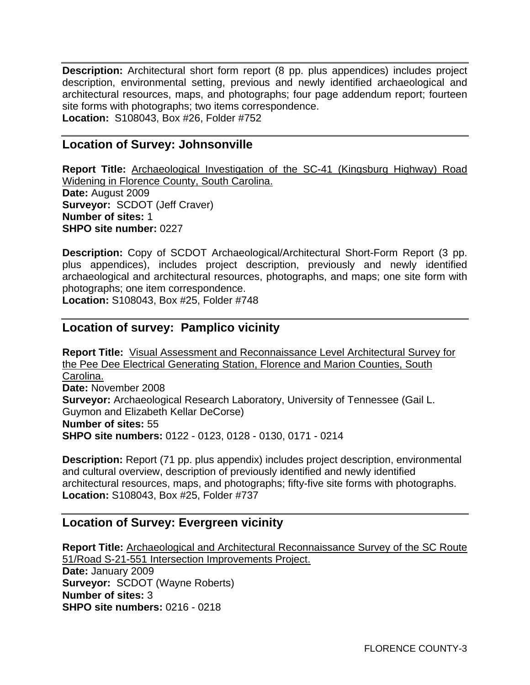**Description:** Architectural short form report (8 pp. plus appendices) includes project description, environmental setting, previous and newly identified archaeological and architectural resources, maps, and photographs; four page addendum report; fourteen site forms with photographs; two items correspondence. **Location:** S108043, Box #26, Folder #752

#### **Location of Survey: Johnsonville**

**Report Title:** Archaeological Investigation of the SC-41 (Kingsburg Highway) Road Widening in Florence County, South Carolina. **Date:** August 2009 **Surveyor:** SCDOT (Jeff Craver) **Number of sites:** 1 **SHPO site number:** 0227

**Description:** Copy of SCDOT Archaeological/Architectural Short-Form Report (3 pp. plus appendices), includes project description, previously and newly identified archaeological and architectural resources, photographs, and maps; one site form with photographs; one item correspondence.

**Location:** S108043, Box #25, Folder #748

#### **Location of survey: Pamplico vicinity**

**Report Title:** Visual Assessment and Reconnaissance Level Architectural Survey for the Pee Dee Electrical Generating Station, Florence and Marion Counties, South Carolina. **Date:** November 2008 **Surveyor:** Archaeological Research Laboratory, University of Tennessee (Gail L. Guymon and Elizabeth Kellar DeCorse) **Number of sites:** 55 **SHPO site numbers:** 0122 - 0123, 0128 - 0130, 0171 - 0214

**Description:** Report (71 pp. plus appendix) includes project description, environmental and cultural overview, description of previously identified and newly identified architectural resources, maps, and photographs; fifty-five site forms with photographs. **Location:** S108043, Box #25, Folder #737

# **Location of Survey: Evergreen vicinity**

**Report Title:** Archaeological and Architectural Reconnaissance Survey of the SC Route 51/Road S-21-551 Intersection Improvements Project. **Date:** January 2009 **Surveyor:** SCDOT (Wayne Roberts) **Number of sites:** 3 **SHPO site numbers:** 0216 - 0218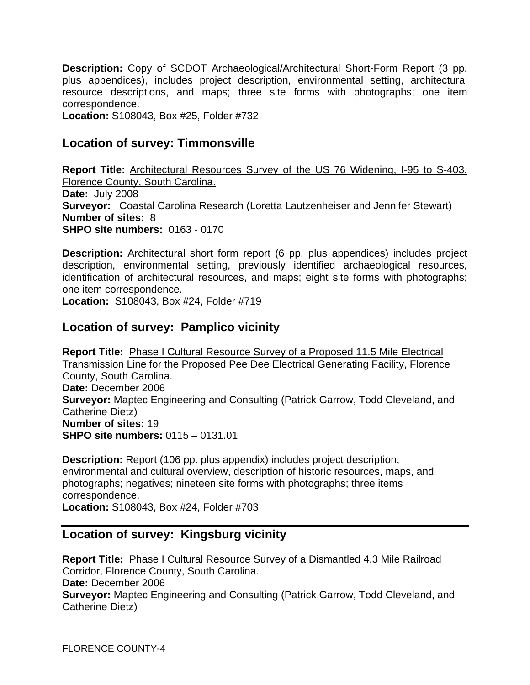**Description:** Copy of SCDOT Archaeological/Architectural Short-Form Report (3 pp. plus appendices), includes project description, environmental setting, architectural resource descriptions, and maps; three site forms with photographs; one item correspondence.

**Location:** S108043, Box #25, Folder #732

#### **Location of survey: Timmonsville**

**Report Title:** Architectural Resources Survey of the US 76 Widening, I-95 to S-403, Florence County, South Carolina. **Date:** July 2008 **Surveyor:** Coastal Carolina Research (Loretta Lautzenheiser and Jennifer Stewart) **Number of sites:** 8 **SHPO site numbers:** 0163 - 0170

**Description:** Architectural short form report (6 pp. plus appendices) includes project description, environmental setting, previously identified archaeological resources, identification of architectural resources, and maps; eight site forms with photographs; one item correspondence.

**Location:** S108043, Box #24, Folder #719

# **Location of survey: Pamplico vicinity**

**Report Title:** Phase I Cultural Resource Survey of a Proposed 11.5 Mile Electrical Transmission Line for the Proposed Pee Dee Electrical Generating Facility, Florence County, South Carolina. **Date:** December 2006 **Surveyor:** Maptec Engineering and Consulting (Patrick Garrow, Todd Cleveland, and Catherine Dietz) **Number of sites:** 19 **SHPO site numbers:** 0115 – 0131.01

**Description:** Report (106 pp. plus appendix) includes project description, environmental and cultural overview, description of historic resources, maps, and photographs; negatives; nineteen site forms with photographs; three items correspondence. **Location:** S108043, Box #24, Folder #703

# **Location of survey: Kingsburg vicinity**

**Report Title:** Phase I Cultural Resource Survey of a Dismantled 4.3 Mile Railroad Corridor, Florence County, South Carolina. **Date:** December 2006 **Surveyor:** Maptec Engineering and Consulting (Patrick Garrow, Todd Cleveland, and Catherine Dietz)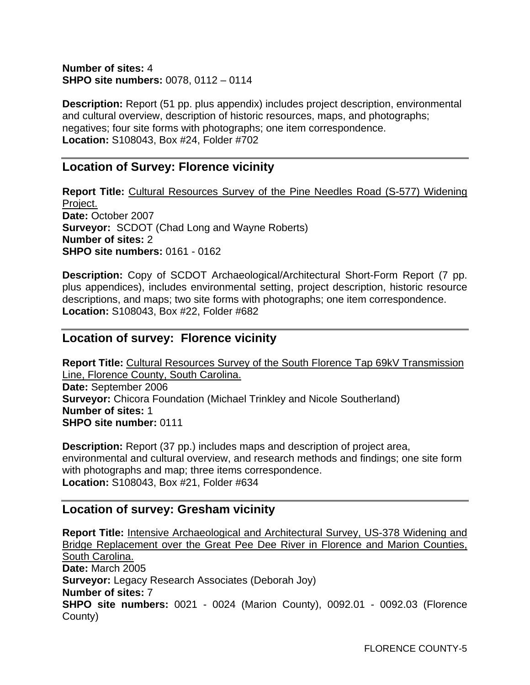#### **Number of sites:** 4 **SHPO site numbers:** 0078, 0112 – 0114

**Description:** Report (51 pp. plus appendix) includes project description, environmental and cultural overview, description of historic resources, maps, and photographs; negatives; four site forms with photographs; one item correspondence. **Location:** S108043, Box #24, Folder #702

#### **Location of Survey: Florence vicinity**

**Report Title:** Cultural Resources Survey of the Pine Needles Road (S-577) Widening Project. **Date:** October 2007 **Surveyor:** SCDOT (Chad Long and Wayne Roberts) **Number of sites:** 2 **SHPO site numbers:** 0161 - 0162

**Description:** Copy of SCDOT Archaeological/Architectural Short-Form Report (7 pp. plus appendices), includes environmental setting, project description, historic resource descriptions, and maps; two site forms with photographs; one item correspondence. **Location:** S108043, Box #22, Folder #682

#### **Location of survey: Florence vicinity**

**Report Title:** Cultural Resources Survey of the South Florence Tap 69kV Transmission Line, Florence County, South Carolina. **Date:** September 2006 **Surveyor:** Chicora Foundation (Michael Trinkley and Nicole Southerland) **Number of sites:** 1 **SHPO site number:** 0111

**Description:** Report (37 pp.) includes maps and description of project area, environmental and cultural overview, and research methods and findings; one site form with photographs and map; three items correspondence. **Location:** S108043, Box #21, Folder #634

# **Location of survey: Gresham vicinity**

**Report Title:** Intensive Archaeological and Architectural Survey, US-378 Widening and Bridge Replacement over the Great Pee Dee River in Florence and Marion Counties, South Carolina. **Date:** March 2005 **Surveyor:** Legacy Research Associates (Deborah Joy) **Number of sites:** 7 **SHPO site numbers:** 0021 - 0024 (Marion County), 0092.01 - 0092.03 (Florence County)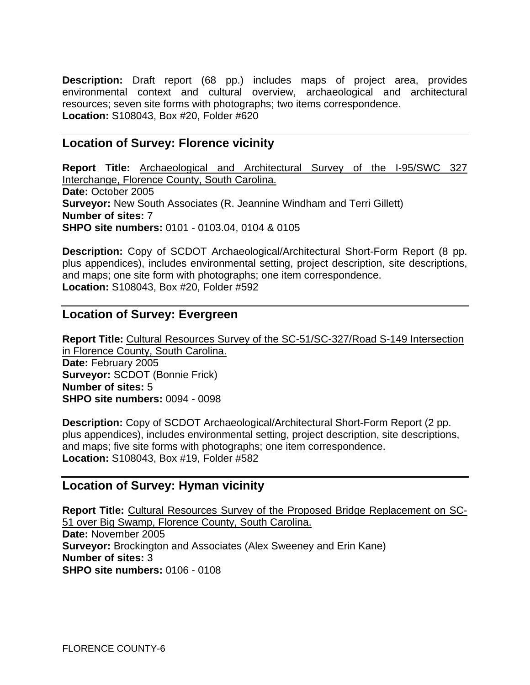**Description:** Draft report (68 pp.) includes maps of project area, provides environmental context and cultural overview, archaeological and architectural resources; seven site forms with photographs; two items correspondence. **Location:** S108043, Box #20, Folder #620

#### **Location of Survey: Florence vicinity**

**Report Title:** Archaeological and Architectural Survey of the I-95/SWC 327 Interchange, Florence County, South Carolina. **Date:** October 2005 **Surveyor:** New South Associates (R. Jeannine Windham and Terri Gillett) **Number of sites:** 7 **SHPO site numbers:** 0101 - 0103.04, 0104 & 0105

**Description:** Copy of SCDOT Archaeological/Architectural Short-Form Report (8 pp. plus appendices), includes environmental setting, project description, site descriptions, and maps; one site form with photographs; one item correspondence. **Location:** S108043, Box #20, Folder #592

#### **Location of Survey: Evergreen**

**Report Title:** Cultural Resources Survey of the SC-51/SC-327/Road S-149 Intersection in Florence County, South Carolina. **Date:** February 2005 **Surveyor:** SCDOT (Bonnie Frick) **Number of sites:** 5 **SHPO site numbers:** 0094 - 0098

**Description:** Copy of SCDOT Archaeological/Architectural Short-Form Report (2 pp. plus appendices), includes environmental setting, project description, site descriptions, and maps; five site forms with photographs; one item correspondence. **Location:** S108043, Box #19, Folder #582

#### **Location of Survey: Hyman vicinity**

**Report Title:** Cultural Resources Survey of the Proposed Bridge Replacement on SC-51 over Big Swamp, Florence County, South Carolina. **Date:** November 2005 **Surveyor:** Brockington and Associates (Alex Sweeney and Erin Kane) **Number of sites:** 3 **SHPO site numbers:** 0106 - 0108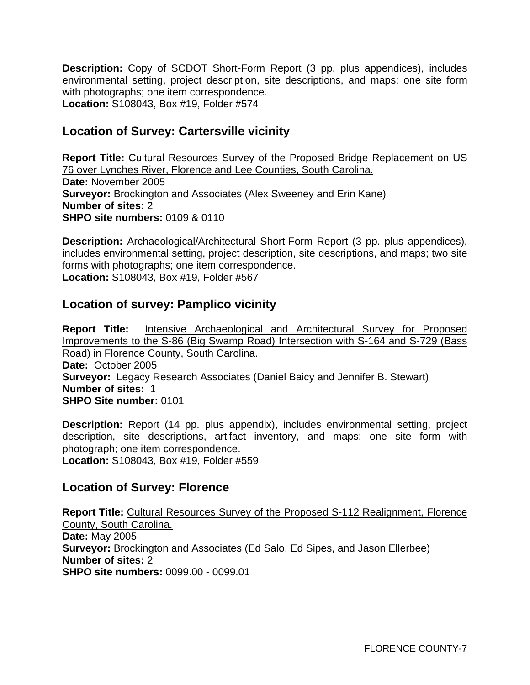**Description:** Copy of SCDOT Short-Form Report (3 pp. plus appendices), includes environmental setting, project description, site descriptions, and maps; one site form with photographs; one item correspondence. **Location:** S108043, Box #19, Folder #574

# **Location of Survey: Cartersville vicinity**

**Report Title:** Cultural Resources Survey of the Proposed Bridge Replacement on US 76 over Lynches River, Florence and Lee Counties, South Carolina. **Date:** November 2005 **Surveyor:** Brockington and Associates (Alex Sweeney and Erin Kane) **Number of sites:** 2 **SHPO site numbers:** 0109 & 0110

**Description:** Archaeological/Architectural Short-Form Report (3 pp. plus appendices), includes environmental setting, project description, site descriptions, and maps; two site forms with photographs; one item correspondence. **Location:** S108043, Box #19, Folder #567

#### **Location of survey: Pamplico vicinity**

**Report Title:** Intensive Archaeological and Architectural Survey for Proposed Improvements to the S-86 (Big Swamp Road) Intersection with S-164 and S-729 (Bass Road) in Florence County, South Carolina. **Date:** October 2005 **Surveyor:** Legacy Research Associates (Daniel Baicy and Jennifer B. Stewart) **Number of sites:** 1 **SHPO Site number:** 0101

**Description:** Report (14 pp. plus appendix), includes environmental setting, project description, site descriptions, artifact inventory, and maps; one site form with photograph; one item correspondence. **Location:** S108043, Box #19, Folder #559

#### **Location of Survey: Florence**

**Report Title:** Cultural Resources Survey of the Proposed S-112 Realignment, Florence County, South Carolina. **Date:** May 2005 **Surveyor:** Brockington and Associates (Ed Salo, Ed Sipes, and Jason Ellerbee) **Number of sites:** 2 **SHPO site numbers:** 0099.00 - 0099.01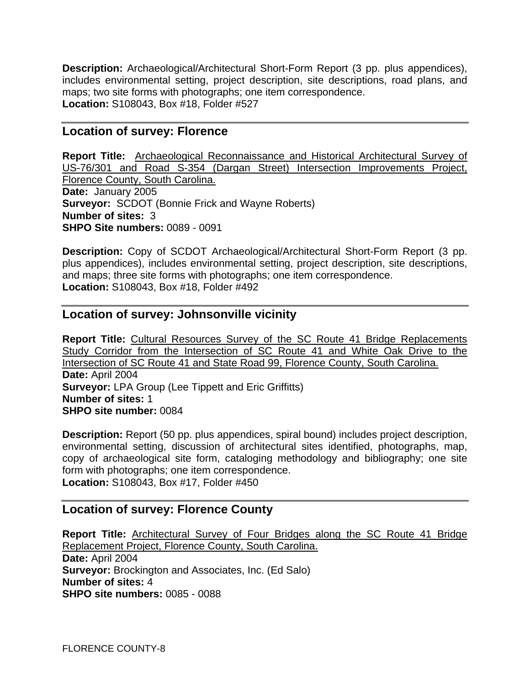**Description:** Archaeological/Architectural Short-Form Report (3 pp. plus appendices), includes environmental setting, project description, site descriptions, road plans, and maps; two site forms with photographs; one item correspondence. **Location:** S108043, Box #18, Folder #527

#### **Location of survey: Florence**

**Report Title:** Archaeological Reconnaissance and Historical Architectural Survey of US-76/301 and Road S-354 (Dargan Street) Intersection Improvements Project, Florence County, South Carolina. **Date:** January 2005 **Surveyor:** SCDOT (Bonnie Frick and Wayne Roberts) **Number of sites:** 3 **SHPO Site numbers:** 0089 - 0091

**Description:** Copy of SCDOT Archaeological/Architectural Short-Form Report (3 pp. plus appendices), includes environmental setting, project description, site descriptions, and maps; three site forms with photographs; one item correspondence. **Location:** S108043, Box #18, Folder #492

# **Location of survey: Johnsonville vicinity**

**Report Title:** Cultural Resources Survey of the SC Route 41 Bridge Replacements Study Corridor from the Intersection of SC Route 41 and White Oak Drive to the Intersection of SC Route 41 and State Road 99, Florence County, South Carolina. **Date:** April 2004 **Surveyor:** LPA Group (Lee Tippett and Eric Griffitts) **Number of sites:** 1 **SHPO site number:** 0084

**Description:** Report (50 pp. plus appendices, spiral bound) includes project description, environmental setting, discussion of architectural sites identified, photographs, map, copy of archaeological site form, cataloging methodology and bibliography; one site form with photographs; one item correspondence. **Location:** S108043, Box #17, Folder #450

# **Location of survey: Florence County**

**Report Title:** Architectural Survey of Four Bridges along the SC Route 41 Bridge Replacement Project, Florence County, South Carolina. **Date:** April 2004 **Surveyor:** Brockington and Associates, Inc. (Ed Salo) **Number of sites:** 4 **SHPO site numbers:** 0085 - 0088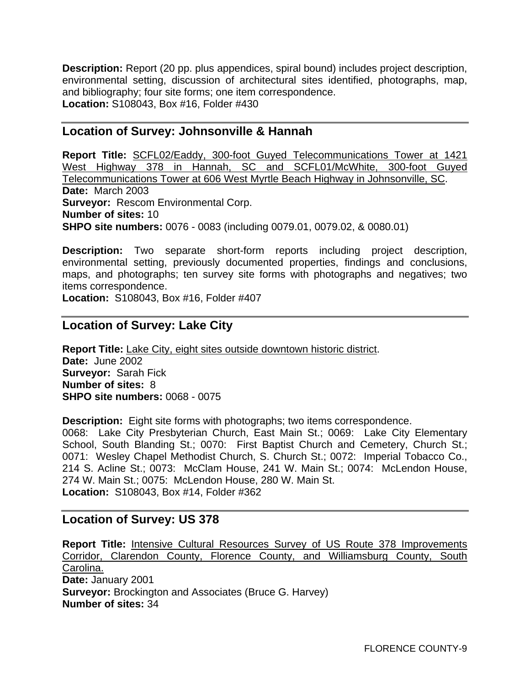**Description:** Report (20 pp. plus appendices, spiral bound) includes project description, environmental setting, discussion of architectural sites identified, photographs, map, and bibliography; four site forms; one item correspondence. **Location:** S108043, Box #16, Folder #430

#### **Location of Survey: Johnsonville & Hannah**

**Report Title:** SCFL02/Eaddy, 300-foot Guyed Telecommunications Tower at 1421 West Highway 378 in Hannah, SC and SCFL01/McWhite, 300-foot Guyed Telecommunications Tower at 606 West Myrtle Beach Highway in Johnsonville, SC. **Date:** March 2003 **Surveyor:** Rescom Environmental Corp. **Number of sites:** 10 **SHPO site numbers:** 0076 - 0083 (including 0079.01, 0079.02, & 0080.01)

**Description:** Two separate short-form reports including project description, environmental setting, previously documented properties, findings and conclusions, maps, and photographs; ten survey site forms with photographs and negatives; two items correspondence.

**Location:** S108043, Box #16, Folder #407

# **Location of Survey: Lake City**

**Report Title:** Lake City, eight sites outside downtown historic district. **Date:** June 2002 **Surveyor:** Sarah Fick **Number of sites:** 8 **SHPO site numbers:** 0068 - 0075

**Description:** Eight site forms with photographs; two items correspondence. 0068: Lake City Presbyterian Church, East Main St.; 0069: Lake City Elementary School, South Blanding St.; 0070: First Baptist Church and Cemetery, Church St.; 0071: Wesley Chapel Methodist Church, S. Church St.; 0072: Imperial Tobacco Co., 214 S. Acline St.; 0073: McClam House, 241 W. Main St.; 0074: McLendon House, 274 W. Main St.; 0075: McLendon House, 280 W. Main St.

**Location:** S108043, Box #14, Folder #362

# **Location of Survey: US 378**

**Report Title:** Intensive Cultural Resources Survey of US Route 378 Improvements Corridor, Clarendon County, Florence County, and Williamsburg County, South Carolina. **Date:** January 2001 **Surveyor:** Brockington and Associates (Bruce G. Harvey) **Number of sites:** 34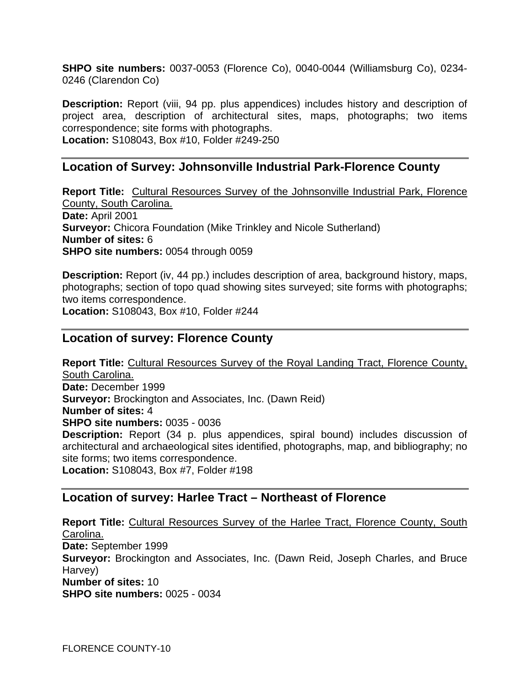**SHPO site numbers:** 0037-0053 (Florence Co), 0040-0044 (Williamsburg Co), 0234- 0246 (Clarendon Co)

**Description:** Report (viii, 94 pp. plus appendices) includes history and description of project area, description of architectural sites, maps, photographs; two items correspondence; site forms with photographs. **Location:** S108043, Box #10, Folder #249-250

# **Location of Survey: Johnsonville Industrial Park-Florence County**

**Report Title:** Cultural Resources Survey of the Johnsonville Industrial Park, Florence County, South Carolina. **Date:** April 2001 **Surveyor:** Chicora Foundation (Mike Trinkley and Nicole Sutherland) **Number of sites:** 6 **SHPO site numbers:** 0054 through 0059

**Description:** Report (iv, 44 pp.) includes description of area, background history, maps, photographs; section of topo quad showing sites surveyed; site forms with photographs; two items correspondence.

**Location:** S108043, Box #10, Folder #244

#### **Location of survey: Florence County**

**Report Title:** Cultural Resources Survey of the Royal Landing Tract, Florence County, South Carolina. **Date:** December 1999 **Surveyor:** Brockington and Associates, Inc. (Dawn Reid) **Number of sites:** 4 **SHPO site numbers:** 0035 - 0036 **Description:** Report (34 p. plus appendices, spiral bound) includes discussion of architectural and archaeological sites identified, photographs, map, and bibliography; no site forms; two items correspondence. **Location:** S108043, Box #7, Folder #198

#### **Location of survey: Harlee Tract – Northeast of Florence**

**Report Title:** Cultural Resources Survey of the Harlee Tract, Florence County, South Carolina. **Date:** September 1999 **Surveyor:** Brockington and Associates, Inc. (Dawn Reid, Joseph Charles, and Bruce Harvey) **Number of sites:** 10 **SHPO site numbers:** 0025 - 0034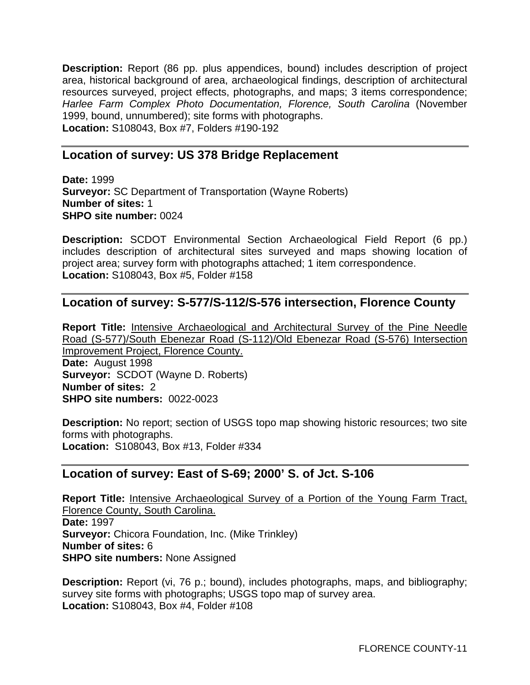**Description:** Report (86 pp. plus appendices, bound) includes description of project area, historical background of area, archaeological findings, description of architectural resources surveyed, project effects, photographs, and maps; 3 items correspondence; *Harlee Farm Complex Photo Documentation, Florence, South Carolina* (November 1999, bound, unnumbered); site forms with photographs. **Location:** S108043, Box #7, Folders #190-192

# **Location of survey: US 378 Bridge Replacement**

**Date:** 1999 **Surveyor:** SC Department of Transportation (Wayne Roberts) **Number of sites:** 1 **SHPO site number:** 0024

**Description:** SCDOT Environmental Section Archaeological Field Report (6 pp.) includes description of architectural sites surveyed and maps showing location of project area; survey form with photographs attached; 1 item correspondence. **Location:** S108043, Box #5, Folder #158

#### **Location of survey: S-577/S-112/S-576 intersection, Florence County**

**Report Title:** Intensive Archaeological and Architectural Survey of the Pine Needle Road (S-577)/South Ebenezar Road (S-112)/Old Ebenezar Road (S-576) Intersection Improvement Project, Florence County. **Date:** August 1998 **Surveyor:** SCDOT (Wayne D. Roberts) **Number of sites:** 2 **SHPO site numbers:** 0022-0023

**Description:** No report; section of USGS topo map showing historic resources; two site forms with photographs. **Location:** S108043, Box #13, Folder #334

# **Location of survey: East of S-69; 2000' S. of Jct. S-106**

**Report Title:** Intensive Archaeological Survey of a Portion of the Young Farm Tract, Florence County, South Carolina. **Date:** 1997 **Surveyor:** Chicora Foundation, Inc. (Mike Trinkley) **Number of sites:** 6 **SHPO site numbers:** None Assigned

**Description:** Report (vi, 76 p.; bound), includes photographs, maps, and bibliography; survey site forms with photographs; USGS topo map of survey area. **Location:** S108043, Box #4, Folder #108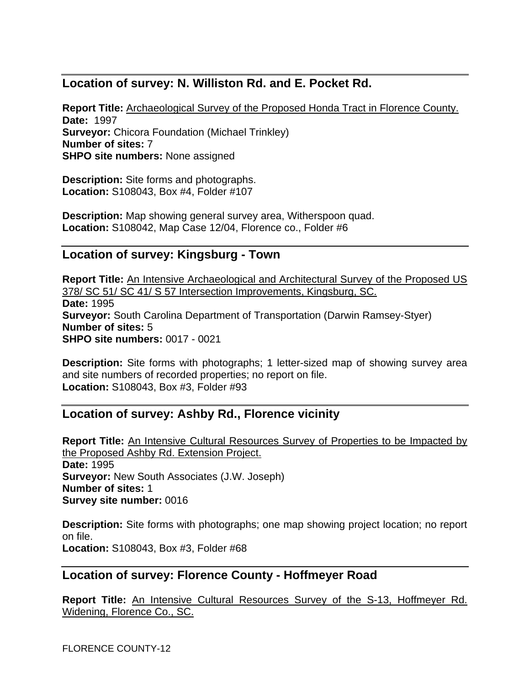# **Location of survey: N. Williston Rd. and E. Pocket Rd.**

**Report Title:** Archaeological Survey of the Proposed Honda Tract in Florence County. **Date:** 1997 **Surveyor:** Chicora Foundation (Michael Trinkley) **Number of sites:** 7 **SHPO site numbers:** None assigned

**Description:** Site forms and photographs. **Location:** S108043, Box #4, Folder #107

**Description:** Map showing general survey area, Witherspoon quad. **Location:** S108042, Map Case 12/04, Florence co., Folder #6

# **Location of survey: Kingsburg - Town**

**Report Title:** An Intensive Archaeological and Architectural Survey of the Proposed US 378/ SC 51/ SC 41/ S 57 Intersection Improvements, Kingsburg, SC. **Date:** 1995 **Surveyor:** South Carolina Department of Transportation (Darwin Ramsey-Styer) **Number of sites:** 5 **SHPO site numbers:** 0017 - 0021

**Description:** Site forms with photographs; 1 letter-sized map of showing survey area and site numbers of recorded properties; no report on file. **Location:** S108043, Box #3, Folder #93

# **Location of survey: Ashby Rd., Florence vicinity**

**Report Title:** An Intensive Cultural Resources Survey of Properties to be Impacted by the Proposed Ashby Rd. Extension Project. **Date:** 1995 **Surveyor:** New South Associates (J.W. Joseph) **Number of sites:** 1 **Survey site number:** 0016

**Description:** Site forms with photographs; one map showing project location; no report on file. **Location:** S108043, Box #3, Folder #68

# **Location of survey: Florence County - Hoffmeyer Road**

**Report Title:** An Intensive Cultural Resources Survey of the S-13, Hoffmeyer Rd. Widening, Florence Co., SC.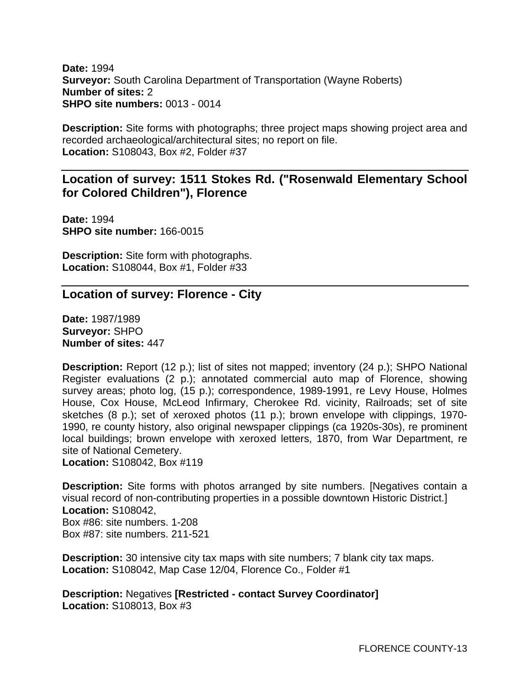**Date:** 1994 **Surveyor:** South Carolina Department of Transportation (Wayne Roberts) **Number of sites:** 2 **SHPO site numbers:** 0013 - 0014

**Description:** Site forms with photographs; three project maps showing project area and recorded archaeological/architectural sites; no report on file. **Location:** S108043, Box #2, Folder #37

# **Location of survey: 1511 Stokes Rd. ("Rosenwald Elementary School for Colored Children"), Florence**

**Date:** 1994 **SHPO site number:** 166-0015

**Description:** Site form with photographs. **Location:** S108044, Box #1, Folder #33

#### **Location of survey: Florence - City**

**Date:** 1987/1989 **Surveyor:** SHPO **Number of sites:** 447

**Description:** Report (12 p.); list of sites not mapped; inventory (24 p.); SHPO National Register evaluations (2 p.); annotated commercial auto map of Florence, showing survey areas; photo log, (15 p.); correspondence, 1989-1991, re Levy House, Holmes House, Cox House, McLeod Infirmary, Cherokee Rd. vicinity, Railroads; set of site sketches (8 p.); set of xeroxed photos (11 p.); brown envelope with clippings, 1970- 1990, re county history, also original newspaper clippings (ca 1920s-30s), re prominent local buildings; brown envelope with xeroxed letters, 1870, from War Department, re site of National Cemetery.

**Location:** S108042, Box #119

**Description:** Site forms with photos arranged by site numbers. [Negatives contain a visual record of non-contributing properties in a possible downtown Historic District.] **Location:** S108042, Box #86: site numbers. 1-208 Box #87: site numbers. 211-521

**Description:** 30 intensive city tax maps with site numbers; 7 blank city tax maps. **Location:** S108042, Map Case 12/04, Florence Co., Folder #1

**Description:** Negatives **[Restricted - contact Survey Coordinator] Location:** S108013, Box #3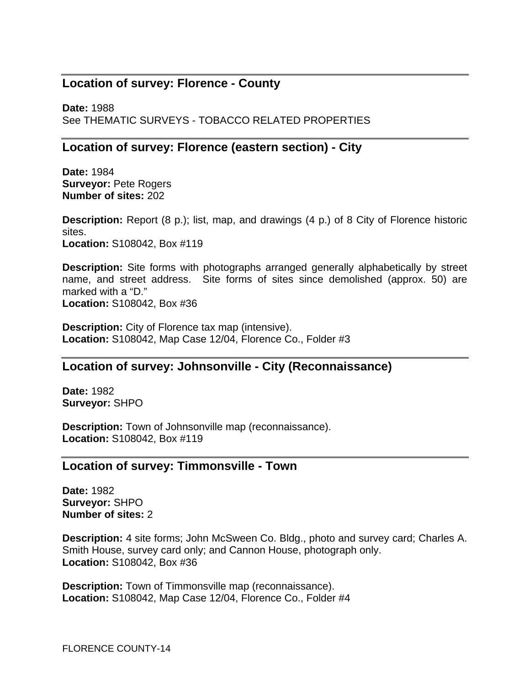# **Location of survey: Florence - County**

**Date:** 1988 See THEMATIC SURVEYS - TOBACCO RELATED PROPERTIES

#### **Location of survey: Florence (eastern section) - City**

**Date:** 1984 **Surveyor:** Pete Rogers **Number of sites:** 202

**Description:** Report (8 p.); list, map, and drawings (4 p.) of 8 City of Florence historic sites. **Location:** S108042, Box #119

**Description:** Site forms with photographs arranged generally alphabetically by street name, and street address. Site forms of sites since demolished (approx. 50) are marked with a "D." **Location:** S108042, Box #36

**Description:** City of Florence tax map (intensive). **Location:** S108042, Map Case 12/04, Florence Co., Folder #3

# **Location of survey: Johnsonville - City (Reconnaissance)**

**Date:** 1982 **Surveyor:** SHPO

**Description:** Town of Johnsonville map (reconnaissance). **Location:** S108042, Box #119

#### **Location of survey: Timmonsville - Town**

**Date:** 1982 **Surveyor:** SHPO **Number of sites:** 2

**Description:** 4 site forms; John McSween Co. Bldg., photo and survey card; Charles A. Smith House, survey card only; and Cannon House, photograph only. **Location:** S108042, Box #36

**Description:** Town of Timmonsville map (reconnaissance). **Location:** S108042, Map Case 12/04, Florence Co., Folder #4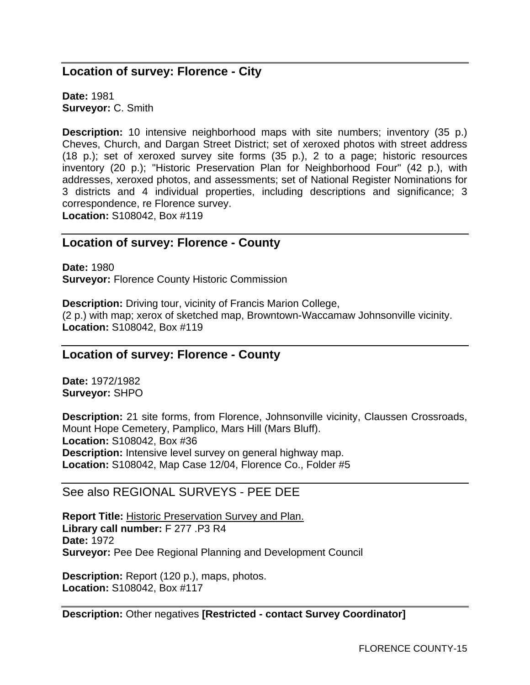# **Location of survey: Florence - City**

**Date:** 1981 **Surveyor:** C. Smith

**Description:** 10 intensive neighborhood maps with site numbers; inventory (35 p.) Cheves, Church, and Dargan Street District; set of xeroxed photos with street address (18 p.); set of xeroxed survey site forms (35 p.), 2 to a page; historic resources inventory (20 p.); "Historic Preservation Plan for Neighborhood Four" (42 p.), with addresses, xeroxed photos, and assessments; set of National Register Nominations for 3 districts and 4 individual properties, including descriptions and significance; 3 correspondence, re Florence survey. **Location:** S108042, Box #119

#### **Location of survey: Florence - County**

**Date:** 1980 **Surveyor:** Florence County Historic Commission

**Description:** Driving tour, vicinity of Francis Marion College, (2 p.) with map; xerox of sketched map, Browntown-Waccamaw Johnsonville vicinity. **Location:** S108042, Box #119

#### **Location of survey: Florence - County**

**Date:** 1972/1982 **Surveyor:** SHPO

**Description:** 21 site forms, from Florence, Johnsonville vicinity, Claussen Crossroads, Mount Hope Cemetery, Pamplico, Mars Hill (Mars Bluff). **Location:** S108042, Box #36 **Description:** Intensive level survey on general highway map. **Location:** S108042, Map Case 12/04, Florence Co., Folder #5

#### See also REGIONAL SURVEYS - PEE DEE

**Report Title:** Historic Preservation Survey and Plan. **Library call number:** F 277 .P3 R4 **Date:** 1972 **Surveyor:** Pee Dee Regional Planning and Development Council

**Description:** Report (120 p.), maps, photos. **Location:** S108042, Box #117

**Description:** Other negatives **[Restricted - contact Survey Coordinator]**